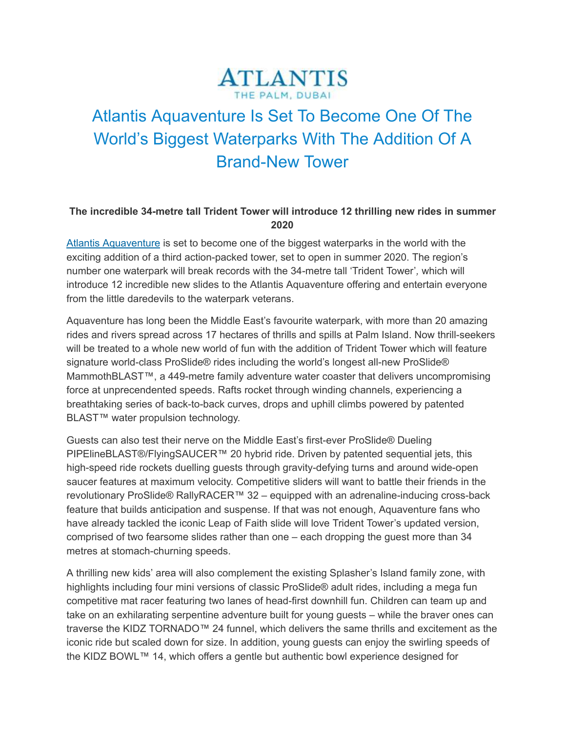## **ATLANTIS** THE PALM, DUBAL

## Atlantis Aquaventure Is Set To Become One Of The World's Biggest Waterparks With The Addition Of A Brand-New Tower

## **The incredible 34-metre tall Trident Tower will introduce 12 thrilling new rides in summer 2020**

Atlantis [Aquaventure](https://www.atlantisthepalm.com/marine-water-park) is set to become one of the biggest waterparks in the world with the exciting addition of a third action-packed tower, set to open in summer 2020. The region's number one waterpark will break records with the 34-metre tall 'Trident Tower'*,* which will introduce 12 incredible new slides to the Atlantis Aquaventure offering and entertain everyone from the little daredevils to the waterpark veterans.

Aquaventure has long been the Middle East's favourite waterpark, with more than 20 amazing rides and rivers spread across 17 hectares of thrills and spills at Palm Island. Now thrill-seekers will be treated to a whole new world of fun with the addition of Trident Tower which will feature signature world-class ProSlide® rides including the world's longest all-new ProSlide® MammothBLAST™, a 449-metre family adventure water coaster that delivers uncompromising force at unprecendented speeds. Rafts rocket through winding channels, experiencing a breathtaking series of back-to-back curves, drops and uphill climbs powered by patented BLAST<sup>™</sup> water propulsion technology.

Guests can also test their nerve on the Middle East's first-ever ProSlide® Dueling PIPElineBLAST®/FlyingSAUCER™ 20 hybrid ride. Driven by patented sequential jets, this high-speed ride rockets duelling guests through gravity-defying turns and around wide-open saucer features at maximum velocity. Competitive sliders will want to battle their friends in the revolutionary ProSlide® RallyRACER™ 32 – equipped with an adrenaline-inducing cross-back feature that builds anticipation and suspense. If that was not enough, Aquaventure fans who have already tackled the iconic Leap of Faith slide will love Trident Tower's updated version, comprised of two fearsome slides rather than one – each dropping the guest more than 34 metres at stomach-churning speeds.

A thrilling new kids' area will also complement the existing Splasher's Island family zone, with highlights including four mini versions of classic ProSlide® adult rides, including a mega fun competitive mat racer featuring two lanes of head-first downhill fun. Children can team up and take on an exhilarating serpentine adventure built for young guests – while the braver ones can traverse the KIDZ TORNADO™ 24 funnel, which delivers the same thrills and excitement as the iconic ride but scaled down for size. In addition, young guests can enjoy the swirling speeds of the KIDZ BOWL™ 14, which offers a gentle but authentic bowl experience designed for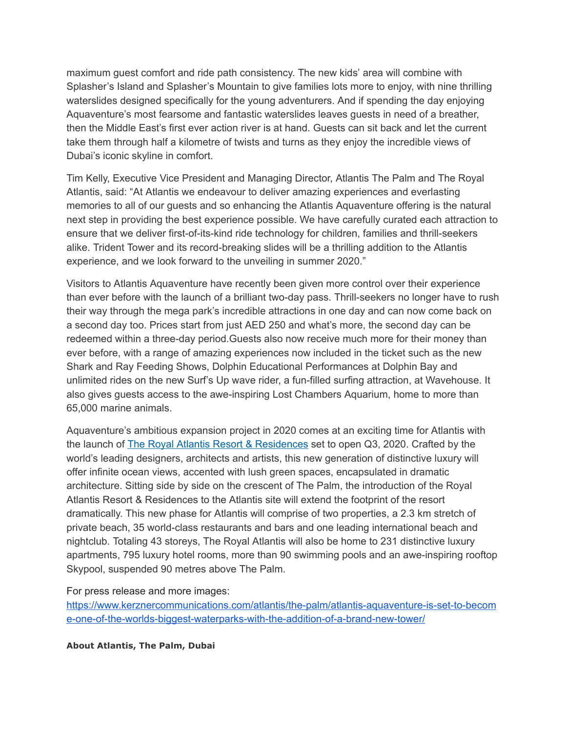maximum guest comfort and ride path consistency. The new kids' area will combine with Splasher's Island and Splasher's Mountain to give families lots more to enjoy, with nine thrilling waterslides designed specifically for the young adventurers. And if spending the day enjoying Aquaventure's most fearsome and fantastic waterslides leaves guests in need of a breather, then the Middle East's first ever action river is at hand. Guests can sit back and let the current take them through half a kilometre of twists and turns as they enjoy the incredible views of Dubai's iconic skyline in comfort.

Tim Kelly, Executive Vice President and Managing Director, Atlantis The Palm and The Royal Atlantis, said: "At Atlantis we endeavour to deliver amazing experiences and everlasting memories to all of our guests and so enhancing the Atlantis Aquaventure offering is the natural next step in providing the best experience possible. We have carefully curated each attraction to ensure that we deliver first-of-its-kind ride technology for children, families and thrill-seekers alike. Trident Tower and its record-breaking slides will be a thrilling addition to the Atlantis experience, and we look forward to the unveiling in summer 2020."

Visitors to Atlantis Aquaventure have recently been given more control over their experience than ever before with the launch of a brilliant two-day pass. Thrill-seekers no longer have to rush their way through the mega park's incredible attractions in one day and can now come back on a second day too. Prices start from just AED 250 and what's more, the second day can be redeemed within a three-day period.Guests also now receive much more for their money than ever before, with a range of amazing experiences now included in the ticket such as the new Shark and Ray Feeding Shows, Dolphin Educational Performances at Dolphin Bay and unlimited rides on the new Surf's Up wave rider, a fun-filled surfing attraction, at Wavehouse. It also gives guests access to the awe-inspiring Lost Chambers Aquarium, home to more than 65,000 marine animals.

Aquaventure's ambitious expansion project in 2020 comes at an exciting time for Atlantis with the launch of The Royal Atlantis Resort & [Residences](http://theroyalatlantisresidences.com/) set to open Q3, 2020. Crafted by the world's leading designers, architects and artists, this new generation of distinctive luxury will offer infinite ocean views, accented with lush green spaces, encapsulated in dramatic architecture. Sitting side by side on the crescent of The Palm, the introduction of the Royal Atlantis Resort & Residences to the Atlantis site will extend the footprint of the resort dramatically. This new phase for Atlantis will comprise of two properties, a 2.3 km stretch of private beach, 35 world-class restaurants and bars and one leading international beach and nightclub. Totaling 43 storeys, The Royal Atlantis will also be home to 231 distinctive luxury apartments, 795 luxury hotel rooms, more than 90 swimming pools and an awe-inspiring rooftop Skypool, suspended 90 metres above The Palm.

For press release and more images:

[https://www.kerznercommunications.com/atlantis/the-palm/atlantis-aquaventure-is-set-to-becom](https://www.kerznercommunications.com/atlantis/the-palm/atlantis-aquaventure-is-set-to-become-one-of-the-worlds-biggest-waterparks-with-the-addition-of-a-brand-new-tower/) [e-one-of-the-worlds-biggest-waterparks-with-the-addition-of-a-brand-new-tower/](https://www.kerznercommunications.com/atlantis/the-palm/atlantis-aquaventure-is-set-to-become-one-of-the-worlds-biggest-waterparks-with-the-addition-of-a-brand-new-tower/)

**About Atlantis, The Palm, Dubai**